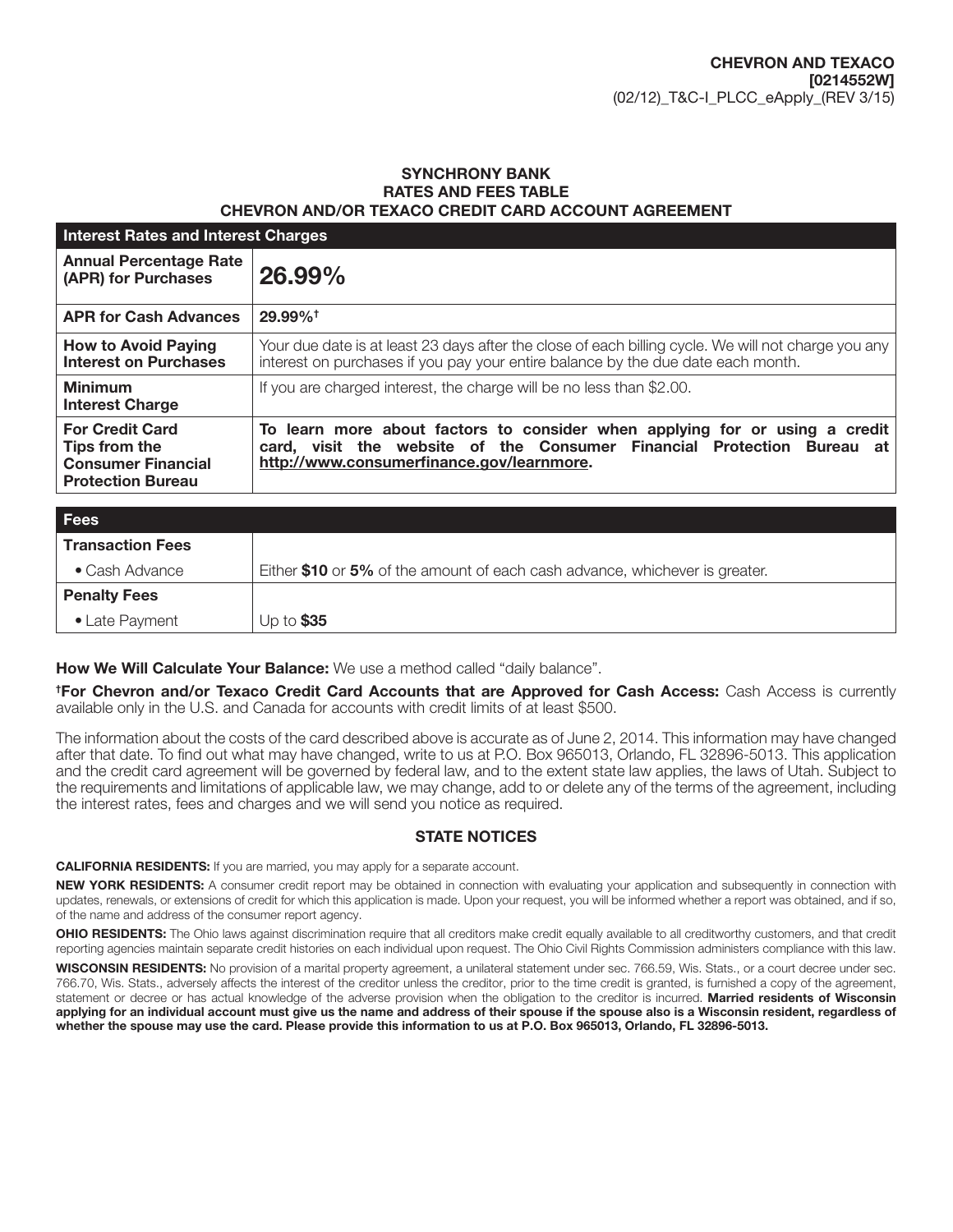### SYNCHRONY BANK RATES AND FEES TABLE CHEVRON AND/OR TEXACO CREDIT CARD ACCOUNT AGREEMENT

| <b>Interest Rates and Interest Charges</b>                                                       |                                                                                                                                                                                                    |  |
|--------------------------------------------------------------------------------------------------|----------------------------------------------------------------------------------------------------------------------------------------------------------------------------------------------------|--|
| <b>Annual Percentage Rate</b><br>(APR) for Purchases                                             | 26.99%                                                                                                                                                                                             |  |
| <b>APR for Cash Advances</b>                                                                     | 29.99% <sup>+</sup>                                                                                                                                                                                |  |
| <b>How to Avoid Paying</b><br><b>Interest on Purchases</b>                                       | Your due date is at least 23 days after the close of each billing cycle. We will not charge you any<br>interest on purchases if you pay your entire balance by the due date each month.            |  |
| <b>Minimum</b><br><b>Interest Charge</b>                                                         | If you are charged interest, the charge will be no less than \$2.00.                                                                                                                               |  |
| <b>For Credit Card</b><br>Tips from the<br><b>Consumer Financial</b><br><b>Protection Bureau</b> | To learn more about factors to consider when applying for or using a credit<br>card, visit the website of the Consumer Financial Protection Bureau at<br>http://www.consumerfinance.gov/learnmore. |  |

| <b>Fees</b>             |                                                                             |
|-------------------------|-----------------------------------------------------------------------------|
| <b>Transaction Fees</b> |                                                                             |
| $\bullet$ Cash Advance  | Either \$10 or 5% of the amount of each cash advance, whichever is greater. |
| <b>Penalty Fees</b>     |                                                                             |
| • Late Payment          | Up to $$35$                                                                 |

### How We Will Calculate Your Balance: We use a method called "daily balance".

† For Chevron and/or Texaco Credit Card Accounts that are Approved for Cash Access: Cash Access is currently available only in the U.S. and Canada for accounts with credit limits of at least \$500.

The information about the costs of the card described above is accurate as of June 2, 2014. This information may have changed after that date. To find out what may have changed, write to us at P.O. Box 965013, Orlando, FL 32896-5013. This application and the credit card agreement will be governed by federal law, and to the extent state law applies, the laws of Utah. Subject to the requirements and limitations of applicable law, we may change, add to or delete any of the terms of the agreement, including the interest rates, fees and charges and we will send you notice as required.

### STATE NOTICES

CALIFORNIA RESIDENTS: If you are married, you may apply for a separate account.

NEW YORK RESIDENTS: A consumer credit report may be obtained in connection with evaluating your application and subsequently in connection with updates, renewals, or extensions of credit for which this application is made. Upon your request, you will be informed whether a report was obtained, and if so, of the name and address of the consumer report agency.

OHIO RESIDENTS: The Ohio laws against discrimination require that all creditors make credit equally available to all creditworthy customers, and that credit reporting agencies maintain separate credit histories on each individual upon request. The Ohio Civil Rights Commission administers compliance with this law.

WISCONSIN RESIDENTS: No provision of a marital property agreement, a unilateral statement under sec. 766.59, Wis. Stats., or a court decree under sec. 766.70, Wis. Stats., adversely affects the interest of the creditor unless the creditor, prior to the time credit is granted, is furnished a copy of the agreement, statement or decree or has actual knowledge of the adverse provision when the obligation to the creditor is incurred. Married residents of Wisconsin applying for an individual account must give us the name and address of their spouse if the spouse also is a Wisconsin resident, regardless of whether the spouse may use the card. Please provide this information to us at P.O. Box 965013, Orlando, FL 32896-5013.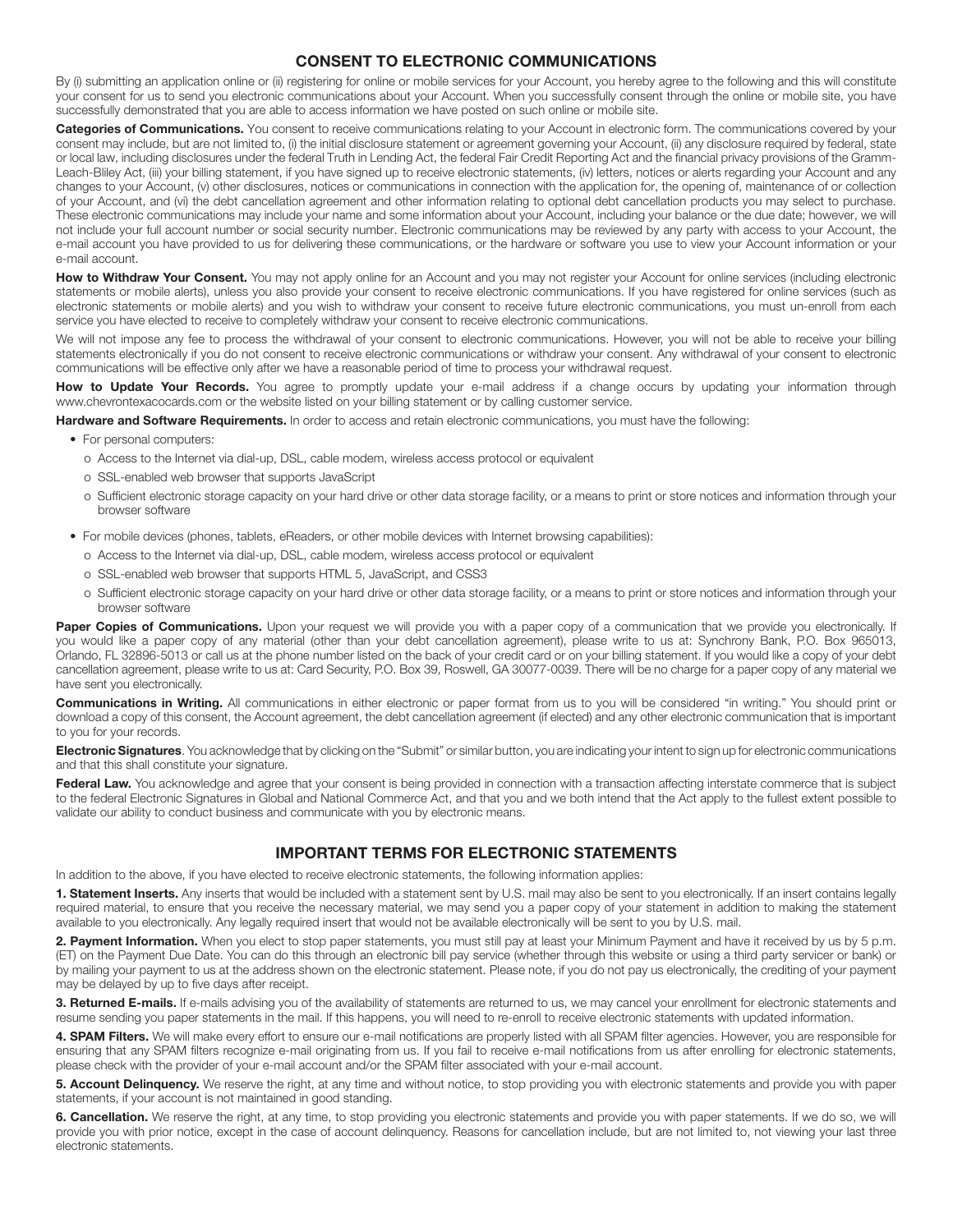### CONSENT TO ELECTRONIC COMMUNICATIONS

By (i) submitting an application online or (ii) registering for online or mobile services for your Account, you hereby agree to the following and this will constitute your consent for us to send you electronic communications about your Account. When you successfully consent through the online or mobile site, you have successfully demonstrated that you are able to access information we have posted on such online or mobile site.

Categories of Communications. You consent to receive communications relating to your Account in electronic form. The communications covered by your consent may include, but are not limited to, (i) the initial disclosure statement or agreement governing your Account, (ii) any disclosure required by federal, state or local law, including disclosures under the federal Truth in Lending Act, the federal Fair Credit Reporting Act and the financial privacy provisions of the Gramm-Leach-Bliley Act, (iii) your billing statement, if you have signed up to receive electronic statements, (iv) letters, notices or alerts regarding your Account and any changes to your Account, (v) other disclosures, notices or communications in connection with the application for, the opening of, maintenance of or collection of your Account, and (vi) the debt cancellation agreement and other information relating to optional debt cancellation products you may select to purchase. These electronic communications may include your name and some information about your Account, including your balance or the due date; however, we will not include your full account number or social security number. Electronic communications may be reviewed by any party with access to your Account, the e-mail account you have provided to us for delivering these communications, or the hardware or software you use to view your Account information or your e-mail account.

How to Withdraw Your Consent. You may not apply online for an Account and you may not register your Account for online services (including electronic statements or mobile alerts), unless you also provide your consent to receive electronic communications. If you have registered for online services (such as electronic statements or mobile alerts) and you wish to withdraw your consent to receive future electronic communications, you must un-enroll from each service you have elected to receive to completely withdraw your consent to receive electronic communications.

We will not impose any fee to process the withdrawal of your consent to electronic communications. However, you will not be able to receive your billing statements electronically if you do not consent to receive electronic communications or withdraw your consent. Any withdrawal of your consent to electronic communications will be effective only after we have a reasonable period of time to process your withdrawal request.

How to Update Your Records. You agree to promptly update your e-mail address if a change occurs by updating your information through www.chevrontexacocards.com or the website listed on your billing statement or by calling customer service.

Hardware and Software Requirements. In order to access and retain electronic communications, you must have the following:

- For personal computers:
	- o Access to the Internet via dial-up, DSL, cable modem, wireless access protocol or equivalent
	- o SSL-enabled web browser that supports JavaScript
	- o Sufficient electronic storage capacity on your hard drive or other data storage facility, or a means to print or store notices and information through your browser software
- For mobile devices (phones, tablets, eReaders, or other mobile devices with Internet browsing capabilities):
	- o Access to the Internet via dial-up, DSL, cable modem, wireless access protocol or equivalent
	- o SSL-enabled web browser that supports HTML 5, JavaScript, and CSS3
	- o Sufficient electronic storage capacity on your hard drive or other data storage facility, or a means to print or store notices and information through your browser software

Paper Copies of Communications. Upon your request we will provide you with a paper copy of a communication that we provide you electronically. If you would like a paper copy of any material (other than your debt cancellation agreement), please write to us at: Synchrony Bank, P.O. Box 965013, Orlando, FL 32896-5013 or call us at the phone number listed on the back of your credit card or on your billing statement. If you would like a copy of your debt cancellation agreement, please write to us at: Card Security, P.O. Box 39, Roswell, GA 30077-0039. There will be no charge for a paper copy of any material we have sent you electronically.

Communications in Writing. All communications in either electronic or paper format from us to you will be considered "in writing." You should print or download a copy of this consent, the Account agreement, the debt cancellation agreement (if elected) and any other electronic communication that is important to you for your records.

Electronic Signatures. You acknowledge that by clicking on the "Submit" or similar button, you are indicating your intent to sign up for electronic communications and that this shall constitute your signature.

Federal Law. You acknowledge and agree that your consent is being provided in connection with a transaction affecting interstate commerce that is subject to the federal Electronic Signatures in Global and National Commerce Act, and that you and we both intend that the Act apply to the fullest extent possible to validate our ability to conduct business and communicate with you by electronic means.

### IMPORTANT TERMS FOR ELECTRONIC STATEMENTS

In addition to the above, if you have elected to receive electronic statements, the following information applies:

1. Statement Inserts. Any inserts that would be included with a statement sent by U.S. mail may also be sent to you electronically. If an insert contains legally required material, to ensure that you receive the necessary material, we may send you a paper copy of your statement in addition to making the statement available to you electronically. Any legally required insert that would not be available electronically will be sent to you by U.S. mail.

2. Payment Information. When you elect to stop paper statements, you must still pay at least your Minimum Payment and have it received by us by 5 p.m. (ET) on the Payment Due Date. You can do this through an electronic bill pay service (whether through this website or using a third party servicer or bank) or by mailing your payment to us at the address shown on the electronic statement. Please note, if you do not pay us electronically, the crediting of your payment may be delayed by up to five days after receipt.

3. Returned E-mails. If e-mails advising you of the availability of statements are returned to us, we may cancel your enrollment for electronic statements and resume sending you paper statements in the mail. If this happens, you will need to re-enroll to receive electronic statements with updated information.

4. SPAM Filters. We will make every effort to ensure our e-mail notifications are properly listed with all SPAM filter agencies. However, you are responsible for ensuring that any SPAM filters recognize e-mail originating from us. If you fail to receive e-mail notifications from us after enrolling for electronic statements, please check with the provider of your e-mail account and/or the SPAM filter associated with your e-mail account.

5. Account Delinquency. We reserve the right, at any time and without notice, to stop providing you with electronic statements and provide you with paper statements, if your account is not maintained in good standing.

6. Cancellation. We reserve the right, at any time, to stop providing you electronic statements and provide you with paper statements. If we do so, we will provide you with prior notice, except in the case of account delinquency. Reasons for cancellation include, but are not limited to, not viewing your last three electronic statements.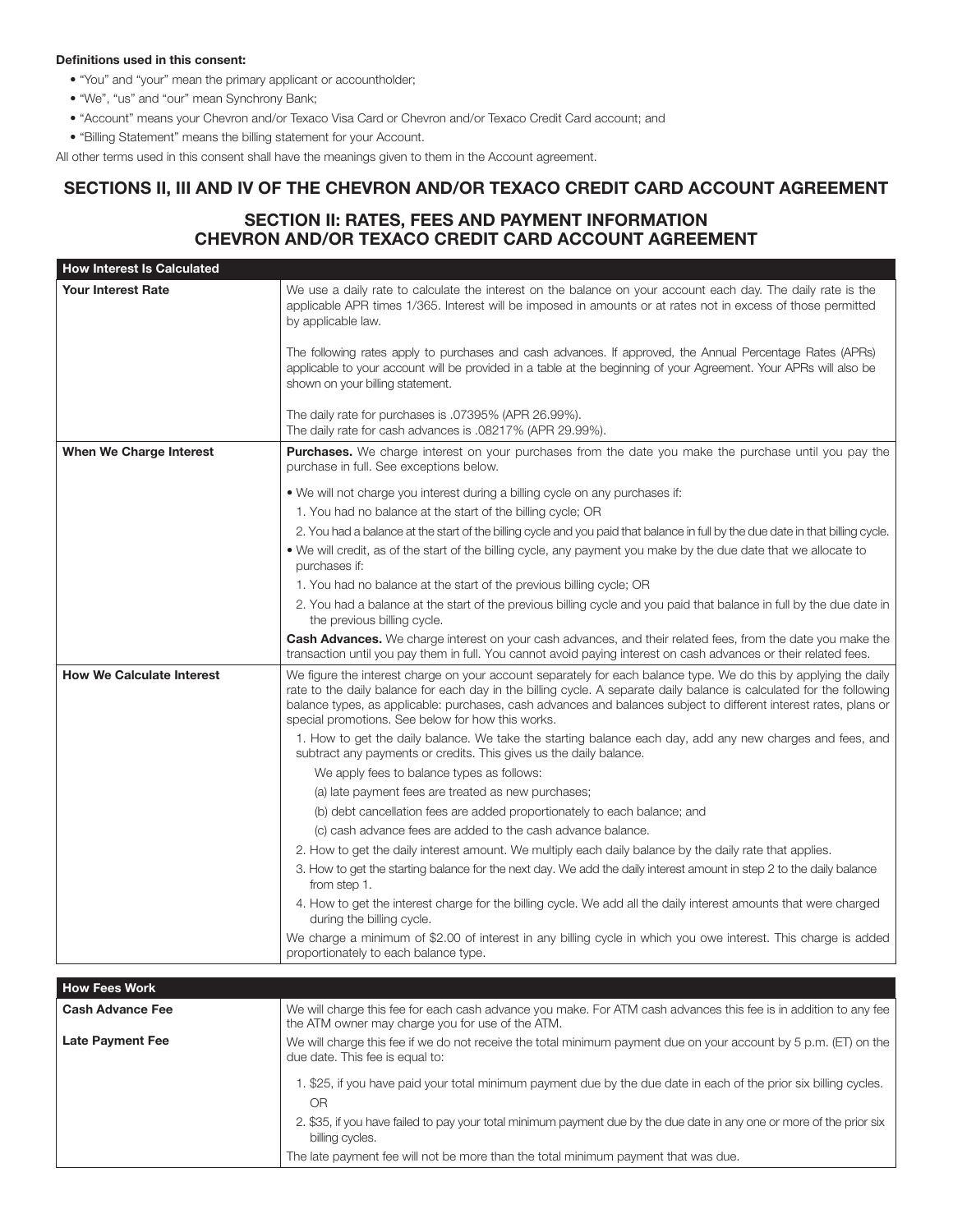#### Definitions used in this consent:

- "You" and "your" mean the primary applicant or accountholder;
- "We", "us" and "our" mean Synchrony Bank;
- "Account" means your Chevron and/or Texaco Visa Card or Chevron and/or Texaco Credit Card account; and
- "Billing Statement" means the billing statement for your Account.

All other terms used in this consent shall have the meanings given to them in the Account agreement.

# SECTIONS II, III AND IV OF THE CHEVRON AND/OR TEXACO CREDIT CARD ACCOUNT AGREEMENT

# SECTION II: RATES, FEES AND PAYMENT INFORMATION CHEVRON AND/OR TEXACO CREDIT CARD ACCOUNT AGREEMENT

| <b>How Interest Is Calculated</b> |                                                                                                                                                                                                                                                                                                                                                                                                                     |
|-----------------------------------|---------------------------------------------------------------------------------------------------------------------------------------------------------------------------------------------------------------------------------------------------------------------------------------------------------------------------------------------------------------------------------------------------------------------|
| <b>Your Interest Rate</b>         | We use a daily rate to calculate the interest on the balance on your account each day. The daily rate is the<br>applicable APR times 1/365. Interest will be imposed in amounts or at rates not in excess of those permitted<br>by applicable law.                                                                                                                                                                  |
|                                   | The following rates apply to purchases and cash advances. If approved, the Annual Percentage Rates (APRs)<br>applicable to your account will be provided in a table at the beginning of your Agreement. Your APRs will also be<br>shown on your billing statement.                                                                                                                                                  |
|                                   | The daily rate for purchases is .07395% (APR 26.99%).<br>The daily rate for cash advances is .08217% (APR 29.99%).                                                                                                                                                                                                                                                                                                  |
| When We Charge Interest           | <b>Purchases.</b> We charge interest on your purchases from the date you make the purchase until you pay the<br>purchase in full. See exceptions below.                                                                                                                                                                                                                                                             |
|                                   | • We will not charge you interest during a billing cycle on any purchases if:                                                                                                                                                                                                                                                                                                                                       |
|                                   | 1. You had no balance at the start of the billing cycle; OR                                                                                                                                                                                                                                                                                                                                                         |
|                                   | 2. You had a balance at the start of the billing cycle and you paid that balance in full by the due date in that billing cycle.                                                                                                                                                                                                                                                                                     |
|                                   | • We will credit, as of the start of the billing cycle, any payment you make by the due date that we allocate to<br>purchases if:                                                                                                                                                                                                                                                                                   |
|                                   | 1. You had no balance at the start of the previous billing cycle; OR                                                                                                                                                                                                                                                                                                                                                |
|                                   | 2. You had a balance at the start of the previous billing cycle and you paid that balance in full by the due date in<br>the previous billing cycle.                                                                                                                                                                                                                                                                 |
|                                   | <b>Cash Advances.</b> We charge interest on your cash advances, and their related fees, from the date you make the<br>transaction until you pay them in full. You cannot avoid paying interest on cash advances or their related fees.                                                                                                                                                                              |
| <b>How We Calculate Interest</b>  | We figure the interest charge on your account separately for each balance type. We do this by applying the daily<br>rate to the daily balance for each day in the billing cycle. A separate daily balance is calculated for the following<br>balance types, as applicable: purchases, cash advances and balances subject to different interest rates, plans or<br>special promotions. See below for how this works. |
|                                   | 1. How to get the daily balance. We take the starting balance each day, add any new charges and fees, and<br>subtract any payments or credits. This gives us the daily balance.                                                                                                                                                                                                                                     |
|                                   | We apply fees to balance types as follows:                                                                                                                                                                                                                                                                                                                                                                          |
|                                   | (a) late payment fees are treated as new purchases;                                                                                                                                                                                                                                                                                                                                                                 |
|                                   | (b) debt cancellation fees are added proportionately to each balance; and                                                                                                                                                                                                                                                                                                                                           |
|                                   | (c) cash advance fees are added to the cash advance balance.                                                                                                                                                                                                                                                                                                                                                        |
|                                   | 2. How to get the daily interest amount. We multiply each daily balance by the daily rate that applies.                                                                                                                                                                                                                                                                                                             |
|                                   | 3. How to get the starting balance for the next day. We add the daily interest amount in step 2 to the daily balance<br>from step 1.                                                                                                                                                                                                                                                                                |
|                                   | 4. How to get the interest charge for the billing cycle. We add all the daily interest amounts that were charged<br>during the billing cycle.                                                                                                                                                                                                                                                                       |
|                                   | We charge a minimum of \$2.00 of interest in any billing cycle in which you owe interest. This charge is added<br>proportionately to each balance type.                                                                                                                                                                                                                                                             |
| <b>How Fees Work</b>              |                                                                                                                                                                                                                                                                                                                                                                                                                     |

| <b>How Fees Work</b>    |                                                                                                                                                                      |
|-------------------------|----------------------------------------------------------------------------------------------------------------------------------------------------------------------|
| <b>Cash Advance Fee</b> | We will charge this fee for each cash advance you make. For ATM cash advances this fee is in addition to any fee<br>the ATM owner may charge you for use of the ATM. |
| <b>Late Payment Fee</b> | We will charge this fee if we do not receive the total minimum payment due on your account by 5 p.m. (ET) on the<br>due date. This fee is equal to:                  |
|                         | 1. \$25, if you have paid your total minimum payment due by the due date in each of the prior six billing cycles.<br>OR.                                             |
|                         | 2. \$35, if you have failed to pay your total minimum payment due by the due date in any one or more of the prior six<br>billing cycles.                             |
|                         | The late payment fee will not be more than the total minimum payment that was due.                                                                                   |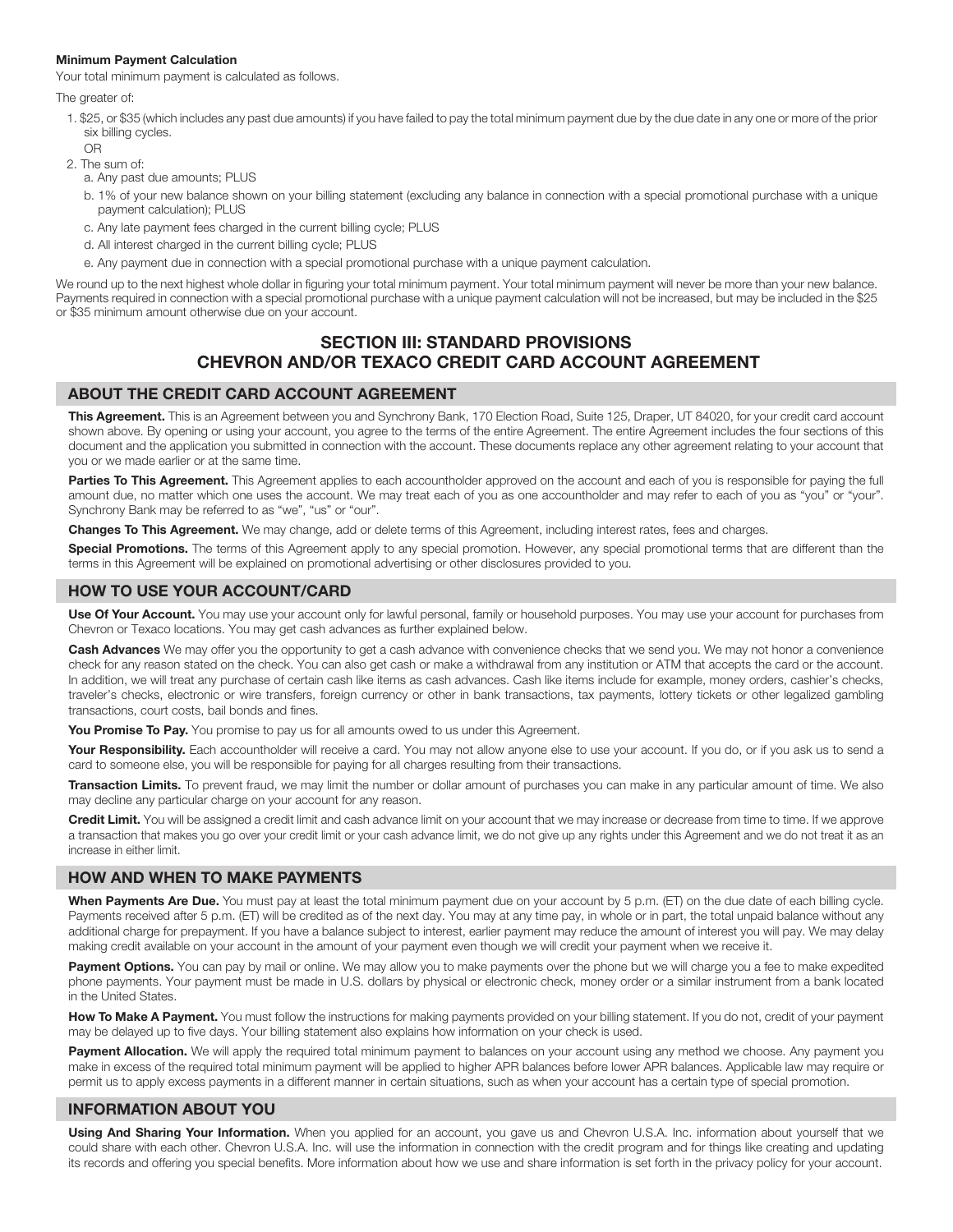#### Minimum Payment Calculation

Your total minimum payment is calculated as follows.

The greater of:

- 1. \$25, or \$35 (which includes any past due amounts) if you have failed to pay the total minimum payment due by the due date in any one or more of the prior six billing cycles. OR
- 2. The sum of:
	- a. Any past due amounts; PLUS
	- b. 1% of your new balance shown on your billing statement (excluding any balance in connection with a special promotional purchase with a unique payment calculation); PLUS
	- c. Any late payment fees charged in the current billing cycle; PLUS
	- d. All interest charged in the current billing cycle; PLUS
	- e. Any payment due in connection with a special promotional purchase with a unique payment calculation.

We round up to the next highest whole dollar in figuring your total minimum payment. Your total minimum payment will never be more than your new balance. Payments required in connection with a special promotional purchase with a unique payment calculation will not be increased, but may be included in the \$25 or \$35 minimum amount otherwise due on your account.

## SECTION III: STANDARD PROVISIONS CHEVRON AND/OR TEXACO CREDIT CARD ACCOUNT AGREEMENT

### ABOUT THE CREDIT CARD ACCOUNT AGREEMENT

This Agreement. This is an Agreement between you and Synchrony Bank, 170 Election Road, Suite 125, Draper, UT 84020, for your credit card account shown above. By opening or using your account, you agree to the terms of the entire Agreement. The entire Agreement includes the four sections of this document and the application you submitted in connection with the account. These documents replace any other agreement relating to your account that you or we made earlier or at the same time.

Parties To This Agreement. This Agreement applies to each accountholder approved on the account and each of you is responsible for paying the full amount due, no matter which one uses the account. We may treat each of you as one accountholder and may refer to each of you as "you" or "your". Synchrony Bank may be referred to as "we", "us" or "our".

Changes To This Agreement. We may change, add or delete terms of this Agreement, including interest rates, fees and charges.

Special Promotions. The terms of this Agreement apply to any special promotion. However, any special promotional terms that are different than the terms in this Agreement will be explained on promotional advertising or other disclosures provided to you.

### HOW TO USE YOUR ACCOUNT/CARD

Use Of Your Account. You may use your account only for lawful personal, family or household purposes. You may use your account for purchases from Chevron or Texaco locations. You may get cash advances as further explained below.

Cash Advances We may offer you the opportunity to get a cash advance with convenience checks that we send you. We may not honor a convenience check for any reason stated on the check. You can also get cash or make a withdrawal from any institution or ATM that accepts the card or the account. In addition, we will treat any purchase of certain cash like items as cash advances. Cash like items include for example, money orders, cashier's checks, traveler's checks, electronic or wire transfers, foreign currency or other in bank transactions, tax payments, lottery tickets or other legalized gambling transactions, court costs, bail bonds and fines.

You Promise To Pay. You promise to pay us for all amounts owed to us under this Agreement.

Your Responsibility. Each accountholder will receive a card. You may not allow anyone else to use your account. If you do, or if you ask us to send a card to someone else, you will be responsible for paying for all charges resulting from their transactions.

Transaction Limits. To prevent fraud, we may limit the number or dollar amount of purchases you can make in any particular amount of time. We also may decline any particular charge on your account for any reason.

Credit Limit. You will be assigned a credit limit and cash advance limit on your account that we may increase or decrease from time to time. If we approve a transaction that makes you go over your credit limit or your cash advance limit, we do not give up any rights under this Agreement and we do not treat it as an increase in either limit.

### HOW AND WHEN TO MAKE PAYMENTS

When Payments Are Due. You must pay at least the total minimum payment due on your account by 5 p.m. (ET) on the due date of each billing cycle. Payments received after 5 p.m. (ET) will be credited as of the next day. You may at any time pay, in whole or in part, the total unpaid balance without any additional charge for prepayment. If you have a balance subject to interest, earlier payment may reduce the amount of interest you will pay. We may delay making credit available on your account in the amount of your payment even though we will credit your payment when we receive it.

Payment Options. You can pay by mail or online. We may allow you to make payments over the phone but we will charge you a fee to make expedited phone payments. Your payment must be made in U.S. dollars by physical or electronic check, money order or a similar instrument from a bank located in the United States.

How To Make A Payment. You must follow the instructions for making payments provided on your billing statement. If you do not, credit of your payment may be delayed up to five days. Your billing statement also explains how information on your check is used.

Payment Allocation. We will apply the required total minimum payment to balances on your account using any method we choose. Any payment you make in excess of the required total minimum payment will be applied to higher APR balances before lower APR balances. Applicable law may require or permit us to apply excess payments in a different manner in certain situations, such as when your account has a certain type of special promotion.

### INFORMATION ABOUT YOU

Using And Sharing Your Information. When you applied for an account, you gave us and Chevron U.S.A. Inc. information about yourself that we could share with each other. Chevron U.S.A. Inc. will use the information in connection with the credit program and for things like creating and updating its records and offering you special benefits. More information about how we use and share information is set forth in the privacy policy for your account.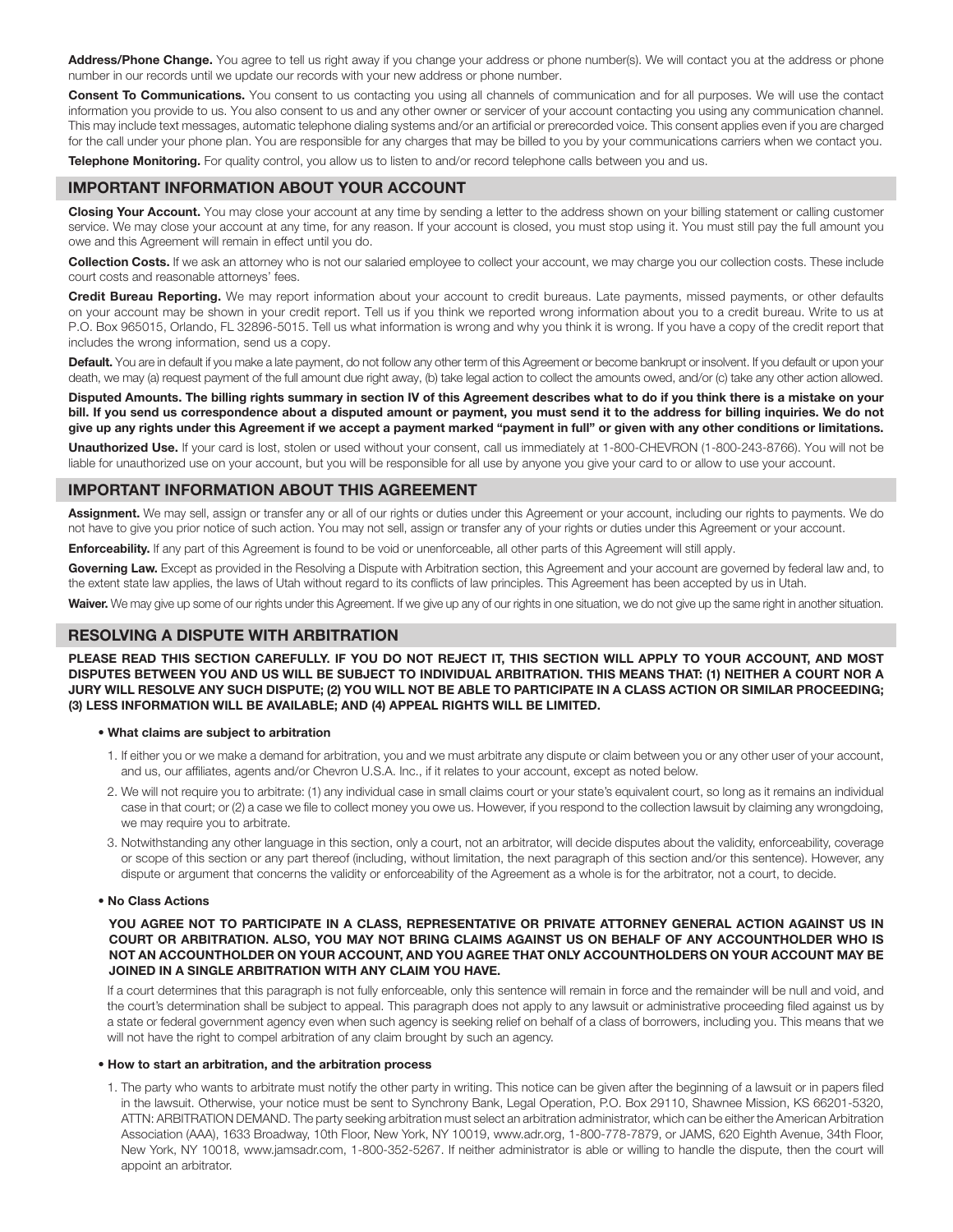Address/Phone Change. You agree to tell us right away if you change your address or phone number(s). We will contact you at the address or phone number in our records until we update our records with your new address or phone number.

Consent To Communications. You consent to us contacting you using all channels of communication and for all purposes. We will use the contact information you provide to us. You also consent to us and any other owner or servicer of your account contacting you using any communication channel. This may include text messages, automatic telephone dialing systems and/or an artificial or prerecorded voice. This consent applies even if you are charged for the call under your phone plan. You are responsible for any charges that may be billed to you by your communications carriers when we contact you.

Telephone Monitoring. For quality control, you allow us to listen to and/or record telephone calls between you and us.

### IMPORTANT INFORMATION ABOUT YOUR ACCOUNT

Closing Your Account. You may close your account at any time by sending a letter to the address shown on your billing statement or calling customer service. We may close your account at any time, for any reason. If your account is closed, you must stop using it. You must still pay the full amount you owe and this Agreement will remain in effect until you do.

Collection Costs. If we ask an attorney who is not our salaried employee to collect your account, we may charge you our collection costs. These include court costs and reasonable attorneys' fees.

Credit Bureau Reporting. We may report information about your account to credit bureaus. Late payments, missed payments, or other defaults on your account may be shown in your credit report. Tell us if you think we reported wrong information about you to a credit bureau. Write to us at P.O. Box 965015, Orlando, FL 32896-5015. Tell us what information is wrong and why you think it is wrong. If you have a copy of the credit report that includes the wrong information, send us a copy.

Default. You are in default if you make a late payment, do not follow any other term of this Agreement or become bankrupt or insolvent. If you default or upon your death, we may (a) request payment of the full amount due right away, (b) take legal action to collect the amounts owed, and/or (c) take any other action allowed.

Disputed Amounts. The billing rights summary in section IV of this Agreement describes what to do if you think there is a mistake on your bill. If you send us correspondence about a disputed amount or payment, you must send it to the address for billing inquiries. We do not give up any rights under this Agreement if we accept a payment marked "payment in full" or given with any other conditions or limitations.

Unauthorized Use. If your card is lost, stolen or used without your consent, call us immediately at 1-800-CHEVRON (1-800-243-8766). You will not be liable for unauthorized use on your account, but you will be responsible for all use by anyone you give your card to or allow to use your account.

### IMPORTANT INFORMATION ABOUT THIS AGREEMENT

Assignment. We may sell, assign or transfer any or all of our rights or duties under this Agreement or your account, including our rights to payments. We do not have to give you prior notice of such action. You may not sell, assign or transfer any of your rights or duties under this Agreement or your account.

Enforceability. If any part of this Agreement is found to be void or unenforceable, all other parts of this Agreement will still apply.

Governing Law. Except as provided in the Resolving a Dispute with Arbitration section, this Agreement and your account are governed by federal law and, to the extent state law applies, the laws of Utah without regard to its conflicts of law principles. This Agreement has been accepted by us in Utah.

Waiver. We may give up some of our rights under this Agreement. If we give up any of our rights in one situation, we do not give up the same right in another situation.

### RESOLVING A DISPUTE WITH ARBITRATION

PLEASE READ THIS SECTION CAREFULLY. IF YOU DO NOT REJECT IT, THIS SECTION WILL APPLY TO YOUR ACCOUNT, AND MOST DISPUTES BETWEEN YOU AND US WILL BE SUBJECT TO INDIVIDUAL ARBITRATION. THIS MEANS THAT: (1) NEITHER A COURT NOR A JURY WILL RESOLVE ANY SUCH DISPUTE; (2) YOU WILL NOT BE ABLE TO PARTICIPATE IN A CLASS ACTION OR SIMILAR PROCEEDING; (3) LESS INFORMATION WILL BE AVAILABLE; AND (4) APPEAL RIGHTS WILL BE LIMITED.

#### • What claims are subject to arbitration

- 1. If either you or we make a demand for arbitration, you and we must arbitrate any dispute or claim between you or any other user of your account, and us, our affiliates, agents and/or Chevron U.S.A. Inc., if it relates to your account, except as noted below.
- 2. We will not require you to arbitrate: (1) any individual case in small claims court or your state's equivalent court, so long as it remains an individual case in that court; or (2) a case we file to collect money you owe us. However, if you respond to the collection lawsuit by claiming any wrongdoing, we may require you to arbitrate.
- 3. Notwithstanding any other language in this section, only a court, not an arbitrator, will decide disputes about the validity, enforceability, coverage or scope of this section or any part thereof (including, without limitation, the next paragraph of this section and/or this sentence). However, any dispute or argument that concerns the validity or enforceability of the Agreement as a whole is for the arbitrator, not a court, to decide.

#### • No Class Actions

YOU AGREE NOT TO PARTICIPATE IN A CLASS, REPRESENTATIVE OR PRIVATE ATTORNEY GENERAL ACTION AGAINST US IN COURT OR ARBITRATION. ALSO, YOU MAY NOT BRING CLAIMS AGAINST US ON BEHALF OF ANY ACCOUNTHOLDER WHO IS NOT AN ACCOUNTHOLDER ON YOUR ACCOUNT, AND YOU AGREE THAT ONLY ACCOUNTHOLDERS ON YOUR ACCOUNT MAY BE JOINED IN A SINGLE ARBITRATION WITH ANY CLAIM YOU HAVE.

If a court determines that this paragraph is not fully enforceable, only this sentence will remain in force and the remainder will be null and void, and the court's determination shall be subject to appeal. This paragraph does not apply to any lawsuit or administrative proceeding filed against us by a state or federal government agency even when such agency is seeking relief on behalf of a class of borrowers, including you. This means that we will not have the right to compel arbitration of any claim brought by such an agency.

#### • How to start an arbitration, and the arbitration process

1. The party who wants to arbitrate must notify the other party in writing. This notice can be given after the beginning of a lawsuit or in papers filed in the lawsuit. Otherwise, your notice must be sent to Synchrony Bank, Legal Operation, P.O. Box 29110, Shawnee Mission, KS 66201-5320, ATTN: ARBITRATION DEMAND. The party seeking arbitration must select an arbitration administrator, which can be either the American Arbitration Association (AAA), 1633 Broadway, 10th Floor, New York, NY 10019, www.adr.org, 1-800-778-7879, or JAMS, 620 Eighth Avenue, 34th Floor, New York, NY 10018, www.jamsadr.com, 1-800-352-5267. If neither administrator is able or willing to handle the dispute, then the court will appoint an arbitrator.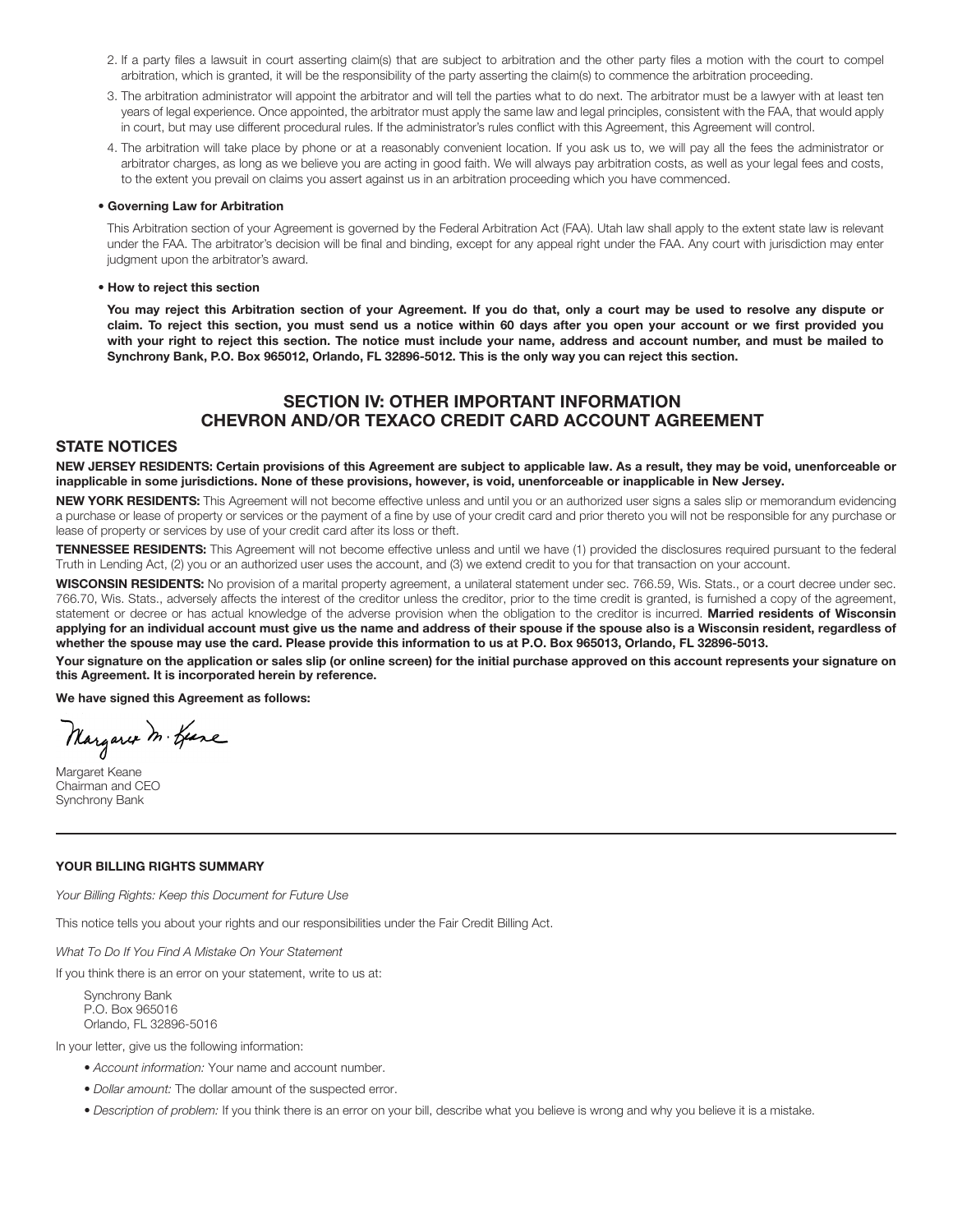- 2. If a party files a lawsuit in court asserting claim(s) that are subject to arbitration and the other party files a motion with the court to compel arbitration, which is granted, it will be the responsibility of the party asserting the claim(s) to commence the arbitration proceeding.
- 3. The arbitration administrator will appoint the arbitrator and will tell the parties what to do next. The arbitrator must be a lawyer with at least ten years of legal experience. Once appointed, the arbitrator must apply the same law and legal principles, consistent with the FAA, that would apply in court, but may use different procedural rules. If the administrator's rules conflict with this Agreement, this Agreement will control.
- 4. The arbitration will take place by phone or at a reasonably convenient location. If you ask us to, we will pay all the fees the administrator or arbitrator charges, as long as we believe you are acting in good faith. We will always pay arbitration costs, as well as your legal fees and costs, to the extent you prevail on claims you assert against us in an arbitration proceeding which you have commenced.

#### • Governing Law for Arbitration

 This Arbitration section of your Agreement is governed by the Federal Arbitration Act (FAA). Utah law shall apply to the extent state law is relevant under the FAA. The arbitrator's decision will be final and binding, except for any appeal right under the FAA. Any court with jurisdiction may enter judgment upon the arbitrator's award.

#### • How to reject this section

 You may reject this Arbitration section of your Agreement. If you do that, only a court may be used to resolve any dispute or claim. To reject this section, you must send us a notice within 60 days after you open your account or we first provided you with your right to reject this section. The notice must include your name, address and account number, and must be mailed to Synchrony Bank, P.O. Box 965012, Orlando, FL 32896-5012. This is the only way you can reject this section.

## SECTION IV: OTHER IMPORTANT INFORMATION CHEVRON AND/OR TEXACO CREDIT CARD ACCOUNT AGREEMENT

#### STATE NOTICES

NEW JERSEY RESIDENTS: Certain provisions of this Agreement are subject to applicable law. As a result, they may be void, unenforceable or inapplicable in some jurisdictions. None of these provisions, however, is void, unenforceable or inapplicable in New Jersey.

NEW YORK RESIDENTS: This Agreement will not become effective unless and until you or an authorized user signs a sales slip or memorandum evidencing a purchase or lease of property or services or the payment of a fine by use of your credit card and prior thereto you will not be responsible for any purchase or lease of property or services by use of your credit card after its loss or theft.

TENNESSEE RESIDENTS: This Agreement will not become effective unless and until we have (1) provided the disclosures required pursuant to the federal Truth in Lending Act, (2) you or an authorized user uses the account, and (3) we extend credit to you for that transaction on your account.

WISCONSIN RESIDENTS: No provision of a marital property agreement, a unilateral statement under sec. 766.59, Wis. Stats., or a court decree under sec. 766.70, Wis. Stats., adversely affects the interest of the creditor unless the creditor, prior to the time credit is granted, is furnished a copy of the agreement, statement or decree or has actual knowledge of the adverse provision when the obligation to the creditor is incurred. Married residents of Wisconsin applying for an individual account must give us the name and address of their spouse if the spouse also is a Wisconsin resident, regardless of whether the spouse may use the card. Please provide this information to us at P.O. Box 965013, Orlando, FL 32896-5013.

Your signature on the application or sales slip (or online screen) for the initial purchase approved on this account represents your signature on this Agreement. It is incorporated herein by reference.

We have signed this Agreement as follows:

Margaret M. Geare

Margaret Keane Chairman and CEO Synchrony Bank

#### YOUR BILLING RIGHTS SUMMARY

*Your Billing Rights: Keep this Document for Future Use*

This notice tells you about your rights and our responsibilities under the Fair Credit Billing Act.

*What To Do If You Find A Mistake On Your Statement*

If you think there is an error on your statement, write to us at:

Synchrony Bank P.O. Box 965016 Orlando, FL 32896-5016

In your letter, give us the following information:

- *Account information:* Your name and account number.
- *Dollar amount:* The dollar amount of the suspected error.
- *Description of problem:* If you think there is an error on your bill, describe what you believe is wrong and why you believe it is a mistake.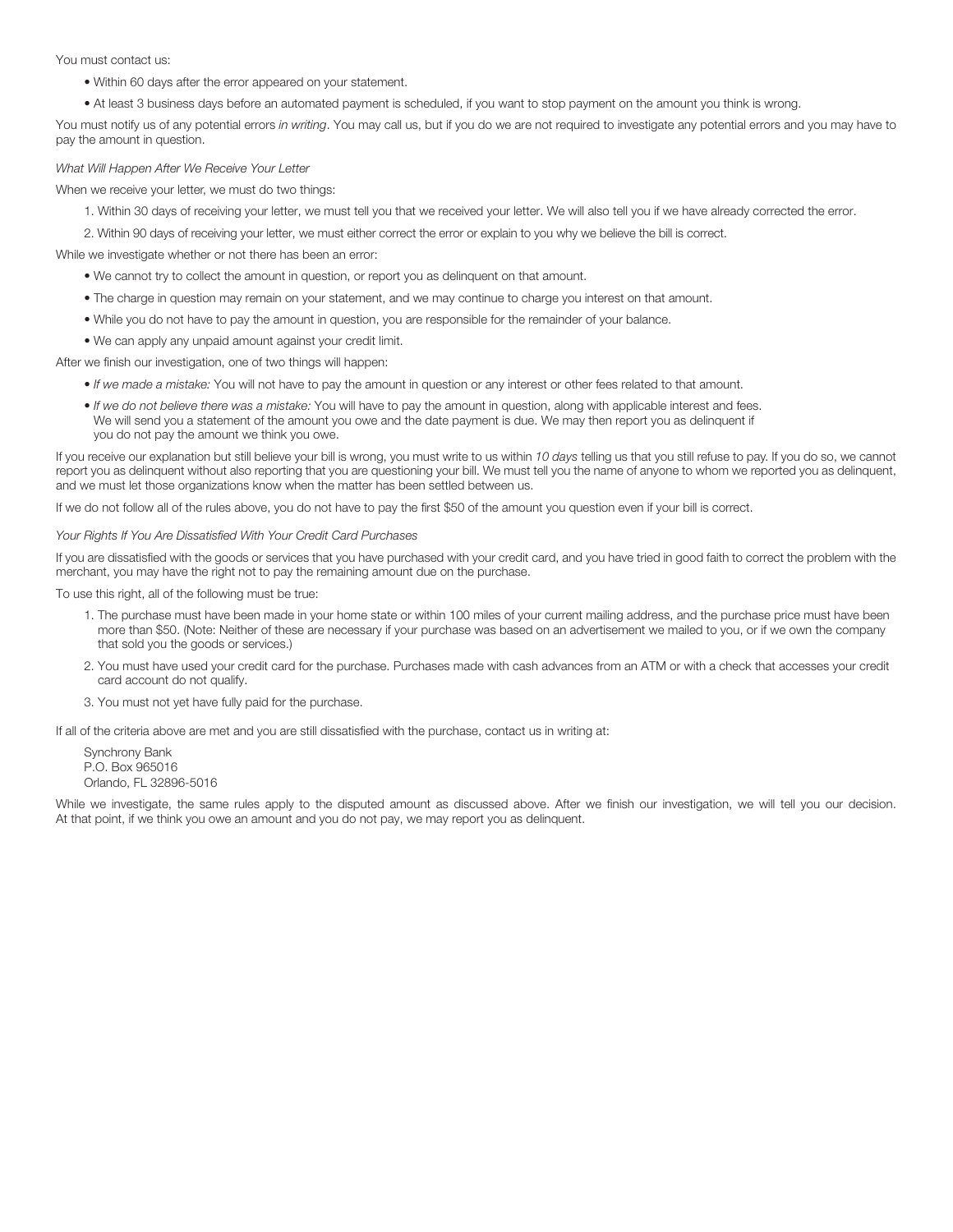You must contact us:

- Within 60 days after the error appeared on your statement.
- At least 3 business days before an automated payment is scheduled, if you want to stop payment on the amount you think is wrong.

You must notify us of any potential errors *in writing*. You may call us, but if you do we are not required to investigate any potential errors and you may have to pay the amount in question.

#### *What Will Happen After We Receive Your Letter*

When we receive your letter, we must do two things:

1. Within 30 days of receiving your letter, we must tell you that we received your letter. We will also tell you if we have already corrected the error.

2. Within 90 days of receiving your letter, we must either correct the error or explain to you why we believe the bill is correct.

While we investigate whether or not there has been an error:

- We cannot try to collect the amount in question, or report you as delinquent on that amount.
- The charge in question may remain on your statement, and we may continue to charge you interest on that amount.
- While you do not have to pay the amount in question, you are responsible for the remainder of your balance.
- We can apply any unpaid amount against your credit limit.

After we finish our investigation, one of two things will happen:

- *If we made a mistake:* You will not have to pay the amount in question or any interest or other fees related to that amount.
- *If we do not believe there was a mistake:* You will have to pay the amount in question, along with applicable interest and fees. We will send you a statement of the amount you owe and the date payment is due. We may then report you as delinquent if you do not pay the amount we think you owe.

If you receive our explanation but still believe your bill is wrong, you must write to us within *10 days* telling us that you still refuse to pay. If you do so, we cannot report you as delinquent without also reporting that you are questioning your bill. We must tell you the name of anyone to whom we reported you as delinquent, and we must let those organizations know when the matter has been settled between us.

If we do not follow all of the rules above, you do not have to pay the first \$50 of the amount you question even if your bill is correct.

*Your Rights If You Are Dissatisfied With Your Credit Card Purchases*

If you are dissatisfied with the goods or services that you have purchased with your credit card, and you have tried in good faith to correct the problem with the merchant, you may have the right not to pay the remaining amount due on the purchase.

To use this right, all of the following must be true:

- 1. The purchase must have been made in your home state or within 100 miles of your current mailing address, and the purchase price must have been more than \$50. (Note: Neither of these are necessary if your purchase was based on an advertisement we mailed to you, or if we own the company that sold you the goods or services.)
- 2. You must have used your credit card for the purchase. Purchases made with cash advances from an ATM or with a check that accesses your credit card account do not qualify.
- 3. You must not yet have fully paid for the purchase.

If all of the criteria above are met and you are still dissatisfied with the purchase, contact us in writing at:

Synchrony Bank P.O. Box 965016 Orlando, FL 32896-5016

While we investigate, the same rules apply to the disputed amount as discussed above. After we finish our investigation, we will tell you our decision. At that point, if we think you owe an amount and you do not pay, we may report you as delinquent.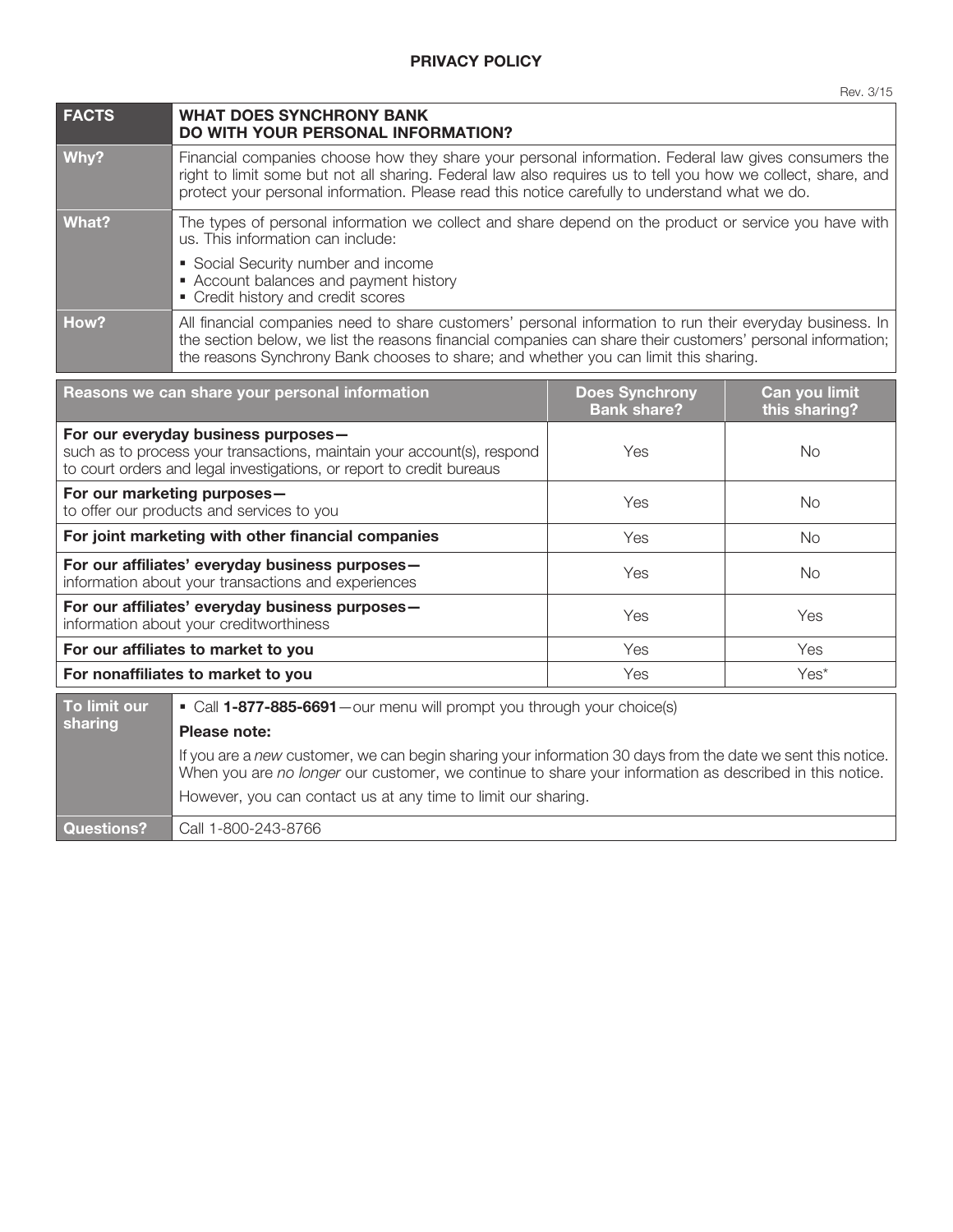| <b>FACTS</b>                                                                                                                                                                            | <b>WHAT DOES SYNCHRONY BANK</b><br>DO WITH YOUR PERSONAL INFORMATION?                                                                                                                                                                                                                                                  |                                             |                                |
|-----------------------------------------------------------------------------------------------------------------------------------------------------------------------------------------|------------------------------------------------------------------------------------------------------------------------------------------------------------------------------------------------------------------------------------------------------------------------------------------------------------------------|---------------------------------------------|--------------------------------|
| Why?                                                                                                                                                                                    | Financial companies choose how they share your personal information. Federal law gives consumers the<br>right to limit some but not all sharing. Federal law also requires us to tell you how we collect, share, and<br>protect your personal information. Please read this notice carefully to understand what we do. |                                             |                                |
| <b>What?</b>                                                                                                                                                                            | The types of personal information we collect and share depend on the product or service you have with<br>us. This information can include:                                                                                                                                                                             |                                             |                                |
|                                                                                                                                                                                         | • Social Security number and income<br>• Account balances and payment history<br>• Credit history and credit scores                                                                                                                                                                                                    |                                             |                                |
| How?                                                                                                                                                                                    | All financial companies need to share customers' personal information to run their everyday business. In<br>the section below, we list the reasons financial companies can share their customers' personal information;<br>the reasons Synchrony Bank chooses to share; and whether you can limit this sharing.        |                                             |                                |
| Reasons we can share your personal information                                                                                                                                          |                                                                                                                                                                                                                                                                                                                        | <b>Does Synchrony</b><br><b>Bank share?</b> | Can you limit<br>this sharing? |
| For our everyday business purposes-<br>such as to process your transactions, maintain your account(s), respond<br>to court orders and legal investigations, or report to credit bureaus |                                                                                                                                                                                                                                                                                                                        | Yes                                         | <b>No</b>                      |
| For our marketing purposes-<br>to offer our products and services to you                                                                                                                |                                                                                                                                                                                                                                                                                                                        | Yes                                         | <b>No</b>                      |
|                                                                                                                                                                                         | For joint marketing with other financial companies                                                                                                                                                                                                                                                                     | Yes                                         | <b>No</b>                      |
| For our affiliates' everyday business purposes-<br>information about your transactions and experiences                                                                                  |                                                                                                                                                                                                                                                                                                                        | Yes                                         | <b>No</b>                      |
| For our affiliates' everyday business purposes-<br>information about your creditworthiness                                                                                              |                                                                                                                                                                                                                                                                                                                        | Yes                                         | Yes                            |
|                                                                                                                                                                                         | For our affiliates to market to you                                                                                                                                                                                                                                                                                    | Yes                                         | Yes                            |
| For nonaffiliates to market to you                                                                                                                                                      |                                                                                                                                                                                                                                                                                                                        | Yes                                         | Yes*                           |
| To limit our                                                                                                                                                                            | • Call 1-877-885-6691 - our menu will prompt you through your choice(s)                                                                                                                                                                                                                                                |                                             |                                |
| sharing                                                                                                                                                                                 | Please note:                                                                                                                                                                                                                                                                                                           |                                             |                                |
|                                                                                                                                                                                         | If you are a new customer, we can begin sharing your information 30 days from the date we sent this notice.<br>When you are no longer our customer, we continue to share your information as described in this notice.                                                                                                 |                                             |                                |
|                                                                                                                                                                                         | However, you can contact us at any time to limit our sharing.                                                                                                                                                                                                                                                          |                                             |                                |

Questions? | Call 1-800-243-8766